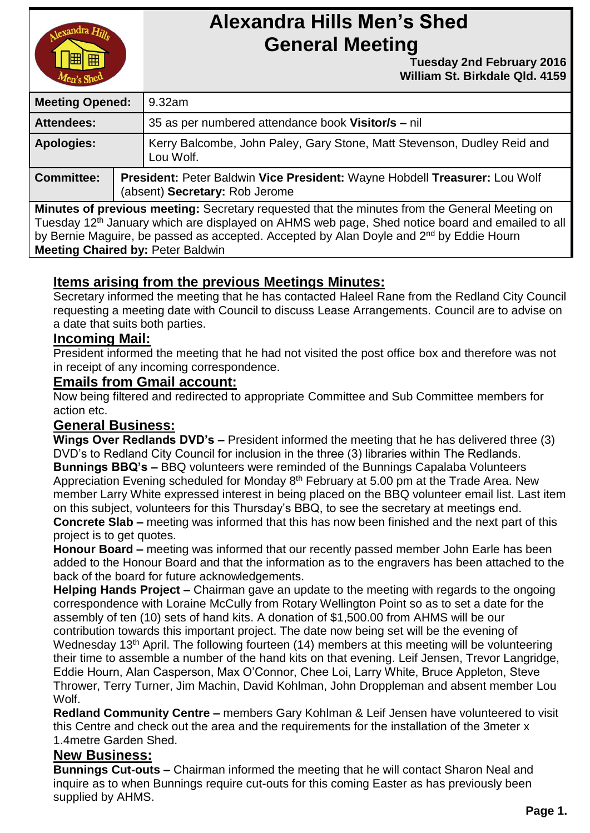

# **Alexandra Hills Men's Shed General Meeting**

 **Tuesday 2nd February 2016 William St. Birkdale Qld. 4159** 

| <b>Meeting Opened:</b> |  | 9.32am                                                                                                       |  |
|------------------------|--|--------------------------------------------------------------------------------------------------------------|--|
| <b>Attendees:</b>      |  | 35 as per numbered attendance book Visitor/s – nil                                                           |  |
| Apologies:             |  | Kerry Balcombe, John Paley, Gary Stone, Matt Stevenson, Dudley Reid and<br>Lou Wolf.                         |  |
| <b>Committee:</b>      |  | President: Peter Baldwin Vice President: Wayne Hobdell Treasurer: Lou Wolf<br>(absent) Secretary: Rob Jerome |  |

**Minutes of previous meeting:** Secretary requested that the minutes from the General Meeting on Tuesday 12<sup>th</sup> January which are displayed on AHMS web page, Shed notice board and emailed to all by Bernie Maguire, be passed as accepted. Accepted by Alan Doyle and 2<sup>nd</sup> by Eddie Hourn **Meeting Chaired by:** Peter Baldwin

# **Items arising from the previous Meetings Minutes:**

Secretary informed the meeting that he has contacted Haleel Rane from the Redland City Council requesting a meeting date with Council to discuss Lease Arrangements. Council are to advise on a date that suits both parties.

# **Incoming Mail:**

President informed the meeting that he had not visited the post office box and therefore was not in receipt of any incoming correspondence.

#### **Emails from Gmail account:**

Now being filtered and redirected to appropriate Committee and Sub Committee members for action etc.

# **General Business:**

**Wings Over Redlands DVD's –** President informed the meeting that he has delivered three (3) DVD's to Redland City Council for inclusion in the three (3) libraries within The Redlands. **Bunnings BBQ's –** BBQ volunteers were reminded of the Bunnings Capalaba Volunteers Appreciation Evening scheduled for Monday 8<sup>th</sup> February at 5.00 pm at the Trade Area. New member Larry White expressed interest in being placed on the BBQ volunteer email list. Last item on this subject, volunteers for this Thursday's BBQ, to see the secretary at meetings end. **Concrete Slab –** meeting was informed that this has now been finished and the next part of this project is to get quotes.

**Honour Board –** meeting was informed that our recently passed member John Earle has been added to the Honour Board and that the information as to the engravers has been attached to the back of the board for future acknowledgements.

**Helping Hands Project –** Chairman gave an update to the meeting with regards to the ongoing correspondence with Loraine McCully from Rotary Wellington Point so as to set a date for the assembly of ten (10) sets of hand kits. A donation of \$1,500.00 from AHMS will be our contribution towards this important project. The date now being set will be the evening of Wednesday 13<sup>th</sup> April. The following fourteen (14) members at this meeting will be volunteering their time to assemble a number of the hand kits on that evening. Leif Jensen, Trevor Langridge, Eddie Hourn, Alan Casperson, Max O'Connor, Chee Loi, Larry White, Bruce Appleton, Steve Thrower, Terry Turner, Jim Machin, David Kohlman, John Droppleman and absent member Lou Wolf.

**Redland Community Centre –** members Gary Kohlman & Leif Jensen have volunteered to visit this Centre and check out the area and the requirements for the installation of the 3meter x 1.4metre Garden Shed.

# **New Business:**

**Bunnings Cut-outs –** Chairman informed the meeting that he will contact Sharon Neal and inquire as to when Bunnings require cut-outs for this coming Easter as has previously been supplied by AHMS.